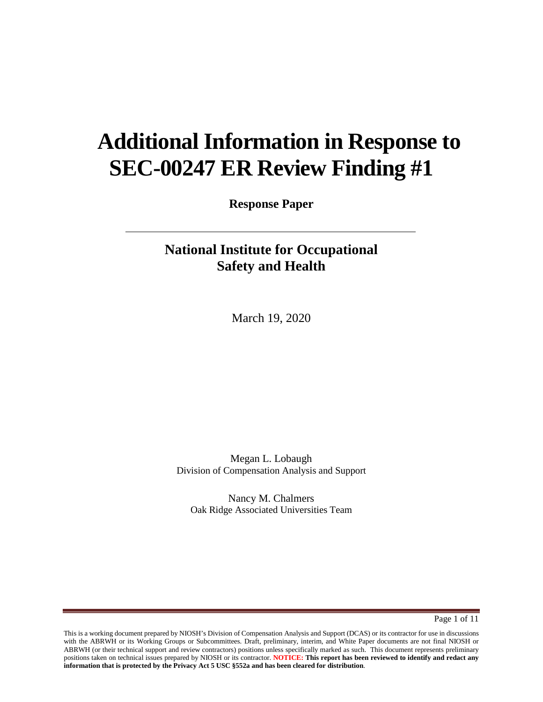# **Additional Information in Response to SEC-00247 ER Review Finding #1**

**Response Paper**

# **National Institute for Occupational Safety and Health**

March 19, 2020

Megan L. Lobaugh Division of Compensation Analysis and Support

Nancy M. Chalmers Oak Ridge Associated Universities Team

Page 1 of 11

This is a working document prepared by NIOSH's Division of Compensation Analysis and Support (DCAS) or its contractor for use in discussions with the ABRWH or its Working Groups or Subcommittees. Draft, preliminary, interim, and White Paper documents are not final NIOSH or ABRWH (or their technical support and review contractors) positions unless specifically marked as such. This document represents preliminary positions taken on technical issues prepared by NIOSH or its contractor. **NOTICE: This report has been reviewed to identify and redact any information that is protected by the Privacy Act 5 USC §552a and has been cleared for distribution**.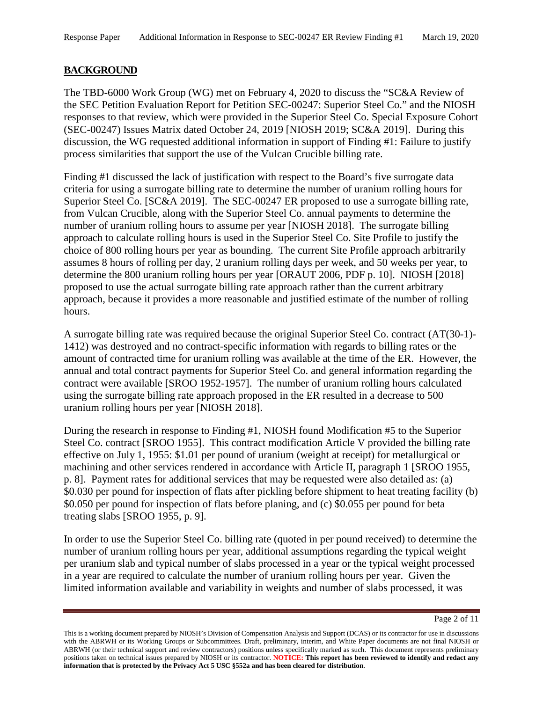#### **BACKGROUND**

The TBD-6000 Work Group (WG) met on February 4, 2020 to discuss the "SC&A Review of the SEC Petition Evaluation Report for Petition SEC-00247: Superior Steel Co." and the NIOSH responses to that review, which were provided in the Superior Steel Co. Special Exposure Cohort (SEC-00247) Issues Matrix dated October 24, 2019 [NIOSH 2019; SC&A 2019]. During this discussion, the WG requested additional information in support of Finding #1: Failure to justify process similarities that support the use of the Vulcan Crucible billing rate.

Finding #1 discussed the lack of justification with respect to the Board's five surrogate data criteria for using a surrogate billing rate to determine the number of uranium rolling hours for Superior Steel Co. [SC&A 2019]. The SEC-00247 ER proposed to use a surrogate billing rate, from Vulcan Crucible, along with the Superior Steel Co. annual payments to determine the number of uranium rolling hours to assume per year [NIOSH 2018]. The surrogate billing approach to calculate rolling hours is used in the Superior Steel Co. Site Profile to justify the choice of 800 rolling hours per year as bounding. The current Site Profile approach arbitrarily assumes 8 hours of rolling per day, 2 uranium rolling days per week, and 50 weeks per year, to determine the 800 uranium rolling hours per year [ORAUT 2006, PDF p. 10]. NIOSH [2018] proposed to use the actual surrogate billing rate approach rather than the current arbitrary approach, because it provides a more reasonable and justified estimate of the number of rolling hours.

A surrogate billing rate was required because the original Superior Steel Co. contract (AT(30-1)- 1412) was destroyed and no contract-specific information with regards to billing rates or the amount of contracted time for uranium rolling was available at the time of the ER. However, the annual and total contract payments for Superior Steel Co. and general information regarding the contract were available [SROO 1952-1957]. The number of uranium rolling hours calculated using the surrogate billing rate approach proposed in the ER resulted in a decrease to 500 uranium rolling hours per year [NIOSH 2018].

During the research in response to Finding #1, NIOSH found Modification #5 to the Superior Steel Co. contract [SROO 1955]. This contract modification Article V provided the billing rate effective on July 1, 1955: \$1.01 per pound of uranium (weight at receipt) for metallurgical or machining and other services rendered in accordance with Article II, paragraph 1 [SROO 1955, p. 8]. Payment rates for additional services that may be requested were also detailed as: (a) \$0.030 per pound for inspection of flats after pickling before shipment to heat treating facility (b) \$0.050 per pound for inspection of flats before planing, and (c) \$0.055 per pound for beta treating slabs [SROO 1955, p. 9].

In order to use the Superior Steel Co. billing rate (quoted in per pound received) to determine the number of uranium rolling hours per year, additional assumptions regarding the typical weight per uranium slab and typical number of slabs processed in a year or the typical weight processed in a year are required to calculate the number of uranium rolling hours per year. Given the limited information available and variability in weights and number of slabs processed, it was

Page 2 of 11

This is a working document prepared by NIOSH's Division of Compensation Analysis and Support (DCAS) or its contractor for use in discussions with the ABRWH or its Working Groups or Subcommittees. Draft, preliminary, interim, and White Paper documents are not final NIOSH or ABRWH (or their technical support and review contractors) positions unless specifically marked as such. This document represents preliminary positions taken on technical issues prepared by NIOSH or its contractor. **NOTICE: This report has been reviewed to identify and redact any information that is protected by the Privacy Act 5 USC §552a and has been cleared for distribution**.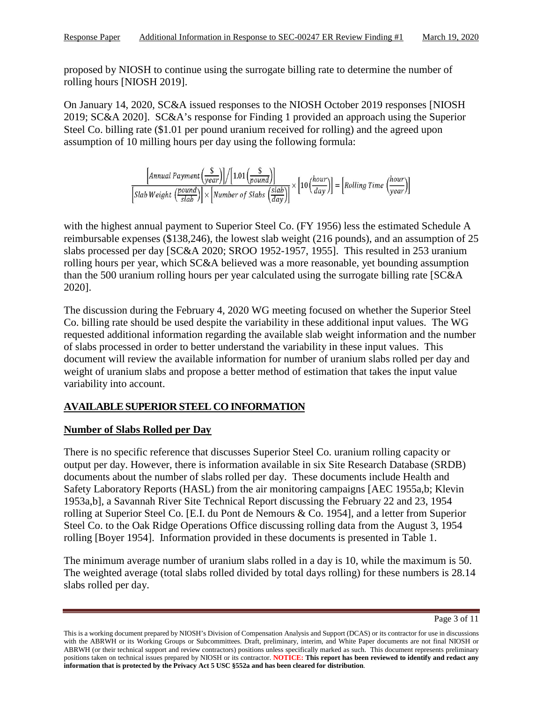proposed by NIOSH to continue using the surrogate billing rate to determine the number of rolling hours [NIOSH 2019].

On January 14, 2020, SC&A issued responses to the NIOSH October 2019 responses [NIOSH 2019; SC&A 2020]. SC&A's response for Finding 1 provided an approach using the Superior Steel Co. billing rate (\$1.01 per pound uranium received for rolling) and the agreed upon assumption of 10 milling hours per day using the following formula:

$$
\frac{\left[\text{Annual Payment}\left(\frac{\$}{year}\right)\right]\left/\left[1.01\left(\frac{\$}{round}\right)\right]}{\left[\text{Slab Weight}\left(\frac{round}{slab}\right)\right] \times \left[\text{Number of Slabs}\left(\frac{\text{slab}}{\text{day}}\right)\right]} \times \left[10\left(\frac{hour}{day}\right)\right] = \left[\text{Rolling Time}\left(\frac{hour}{year}\right)\right]
$$

with the highest annual payment to Superior Steel Co. (FY 1956) less the estimated Schedule A reimbursable expenses (\$138,246), the lowest slab weight (216 pounds), and an assumption of 25 slabs processed per day [SC&A 2020; SROO 1952-1957, 1955]. This resulted in 253 uranium rolling hours per year, which SC&A believed was a more reasonable, yet bounding assumption than the 500 uranium rolling hours per year calculated using the surrogate billing rate [SC&A 2020].

The discussion during the February 4, 2020 WG meeting focused on whether the Superior Steel Co. billing rate should be used despite the variability in these additional input values. The WG requested additional information regarding the available slab weight information and the number of slabs processed in order to better understand the variability in these input values. This document will review the available information for number of uranium slabs rolled per day and weight of uranium slabs and propose a better method of estimation that takes the input value variability into account.

# **AVAILABLE SUPERIOR STEEL CO INFORMATION**

# **Number of Slabs Rolled per Day**

There is no specific reference that discusses Superior Steel Co. uranium rolling capacity or output per day. However, there is information available in six Site Research Database (SRDB) documents about the number of slabs rolled per day. These documents include Health and Safety Laboratory Reports (HASL) from the air monitoring campaigns [AEC 1955a,b; Klevin 1953a,b], a Savannah River Site Technical Report discussing the February 22 and 23, 1954 rolling at Superior Steel Co. [E.I. du Pont de Nemours & Co. 1954], and a letter from Superior Steel Co. to the Oak Ridge Operations Office discussing rolling data from the August 3, 1954 rolling [Boyer 1954]. Information provided in these documents is presented in Table 1.

The minimum average number of uranium slabs rolled in a day is 10, while the maximum is 50. The weighted average (total slabs rolled divided by total days rolling) for these numbers is 28.14 slabs rolled per day.

Page 3 of 11

This is a working document prepared by NIOSH's Division of Compensation Analysis and Support (DCAS) or its contractor for use in discussions with the ABRWH or its Working Groups or Subcommittees. Draft, preliminary, interim, and White Paper documents are not final NIOSH or ABRWH (or their technical support and review contractors) positions unless specifically marked as such. This document represents preliminary positions taken on technical issues prepared by NIOSH or its contractor. **NOTICE: This report has been reviewed to identify and redact any information that is protected by the Privacy Act 5 USC §552a and has been cleared for distribution**.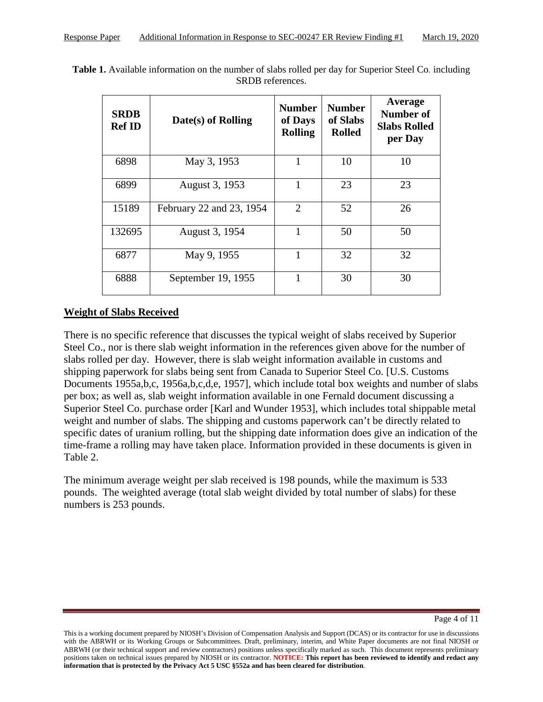| <b>SRDB</b><br><b>Ref ID</b> | Date(s) of Rolling       | <b>Number</b><br>of Days<br><b>Rolling</b> | <b>Number</b><br>of Slabs<br><b>Rolled</b> | Average<br><b>Number of</b><br><b>Slabs Rolled</b><br>per Day |
|------------------------------|--------------------------|--------------------------------------------|--------------------------------------------|---------------------------------------------------------------|
| 6898                         | May 3, 1953              | 1                                          | 10                                         | 10                                                            |
| 6899                         | August 3, 1953           | 1                                          | 23                                         | 23                                                            |
| 15189                        | February 22 and 23, 1954 | $\overline{2}$                             | 52                                         | 26                                                            |
| 132695                       | August 3, 1954           | 1                                          | 50                                         | 50                                                            |
| 6877                         | May 9, 1955              |                                            | 32                                         | 32                                                            |
| 6888                         | September 19, 1955       |                                            | 30                                         | 30                                                            |

**Table 1.** Available information on the number of slabs rolled per day for Superior Steel Co*.* including SRDB references.

## **Weight of Slabs Received**

There is no specific reference that discusses the typical weight of slabs received by Superior Steel Co., nor is there slab weight information in the references given above for the number of slabs rolled per day. However, there is slab weight information available in customs and shipping paperwork for slabs being sent from Canada to Superior Steel Co. [U.S. Customs Documents 1955a,b,c, 1956a,b,c,d,e, 1957], which include total box weights and number of slabs per box; as well as, slab weight information available in one Fernald document discussing a Superior Steel Co. purchase order [Karl and Wunder 1953], which includes total shippable metal weight and number of slabs. The shipping and customs paperwork can't be directly related to specific dates of uranium rolling, but the shipping date information does give an indication of the time-frame a rolling may have taken place. Information provided in these documents is given in Table 2.

The minimum average weight per slab received is 198 pounds, while the maximum is 533 pounds. The weighted average (total slab weight divided by total number of slabs) for these numbers is 253 pounds.

This is a working document prepared by NIOSH's Division of Compensation Analysis and Support (DCAS) or its contractor for use in discussions with the ABRWH or its Working Groups or Subcommittees. Draft, preliminary, interim, and White Paper documents are not final NIOSH or ABRWH (or their technical support and review contractors) positions unless specifically marked as such. This document represents preliminary positions taken on technical issues prepared by NIOSH or its contractor. **NOTICE: This report has been reviewed to identify and redact any information that is protected by the Privacy Act 5 USC §552a and has been cleared for distribution**.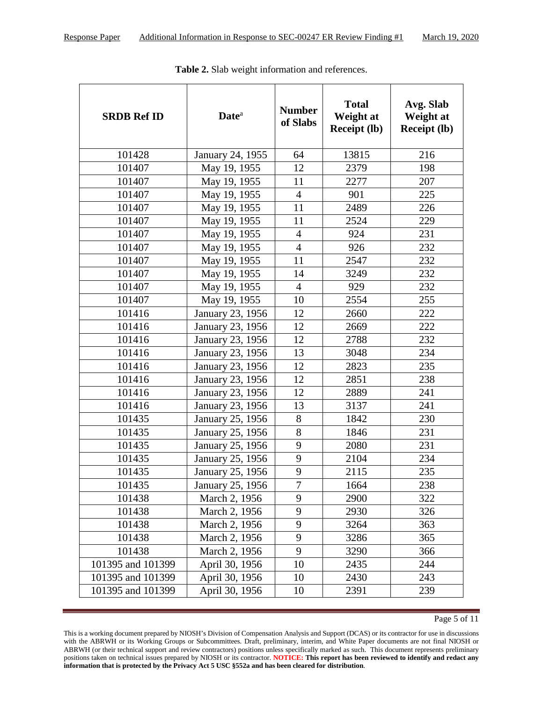| <b>SRDB Ref ID</b> | <b>Date</b> <sup>a</sup> | <b>Number</b><br>of Slabs | <b>Total</b><br>Weight at<br><b>Receipt (lb)</b> | Avg. Slab<br>Weight at<br><b>Receipt (lb)</b> |
|--------------------|--------------------------|---------------------------|--------------------------------------------------|-----------------------------------------------|
| 101428             | January 24, 1955         | 64                        | 13815                                            | 216                                           |
| 101407             | May 19, 1955             | 12                        | 2379                                             | 198                                           |
| 101407             | May 19, 1955             | 11                        | 2277                                             | 207                                           |
| 101407             | May 19, 1955             | $\overline{4}$            | 901                                              | 225                                           |
| 101407             | May 19, 1955             | 11                        | 2489                                             | 226                                           |
| 101407             | May 19, 1955             | 11                        | 2524                                             | 229                                           |
| 101407             | May 19, 1955             | $\overline{4}$            | 924                                              | 231                                           |
| 101407             | May 19, 1955             | $\overline{4}$            | 926                                              | 232                                           |
| 101407             | May 19, 1955             | 11                        | 2547                                             | 232                                           |
| 101407             | May 19, 1955             | 14                        | 3249                                             | 232                                           |
| 101407             | May 19, 1955             | $\overline{4}$            | 929                                              | 232                                           |
| 101407             | May 19, 1955             | 10                        | 2554                                             | 255                                           |
| 101416             | January 23, 1956         | 12                        | 2660                                             | 222                                           |
| 101416             | January 23, 1956         | 12                        | 2669                                             | 222                                           |
| 101416             | January 23, 1956         | 12                        | 2788                                             | 232                                           |
| 101416             | January 23, 1956         | 13                        | 3048                                             | 234                                           |
| 101416             | January 23, 1956         | 12                        | 2823                                             | 235                                           |
| 101416             | January 23, 1956         | 12                        | 2851                                             | 238                                           |
| 101416             | January 23, 1956         | 12                        | 2889                                             | 241                                           |
| 101416             | January 23, 1956         | 13                        | 3137                                             | 241                                           |
| 101435             | January 25, 1956         | 8                         | 1842                                             | 230                                           |
| 101435             | January 25, 1956         | 8                         | 1846                                             | 231                                           |
| 101435             | January 25, 1956         | 9                         | 2080                                             | 231                                           |
| 101435             | January 25, 1956         | 9                         | 2104                                             | 234                                           |
| 101435             | January 25, 1956         | 9                         | 2115                                             | 235                                           |
| 101435             | January 25, 1956         | 7                         | 1664                                             | 238                                           |
| 101438             | March 2, 1956            | 9                         | 2900                                             | 322                                           |
| 101438             | March 2, 1956            | 9                         | 2930                                             | 326                                           |
| 101438             | March 2, 1956            | 9                         | 3264                                             | 363                                           |
| 101438             | March 2, 1956            | 9                         | 3286                                             | 365                                           |
| 101438             | March 2, 1956            | 9                         | 3290                                             | 366                                           |
| 101395 and 101399  | April 30, 1956           | 10                        | 2435                                             | 244                                           |
| 101395 and 101399  | April 30, 1956           | 10                        | 2430                                             | 243                                           |
| 101395 and 101399  | April 30, 1956           | 10                        | 2391                                             | 239                                           |

**Table 2.** Slab weight information and references.

Page 5 of 11

This is a working document prepared by NIOSH's Division of Compensation Analysis and Support (DCAS) or its contractor for use in discussions with the ABRWH or its Working Groups or Subcommittees. Draft, preliminary, interim, and White Paper documents are not final NIOSH or ABRWH (or their technical support and review contractors) positions unless specifically marked as such. This document represents preliminary positions taken on technical issues prepared by NIOSH or its contractor. **NOTICE: This report has been reviewed to identify and redact any information that is protected by the Privacy Act 5 USC §552a and has been cleared for distribution**.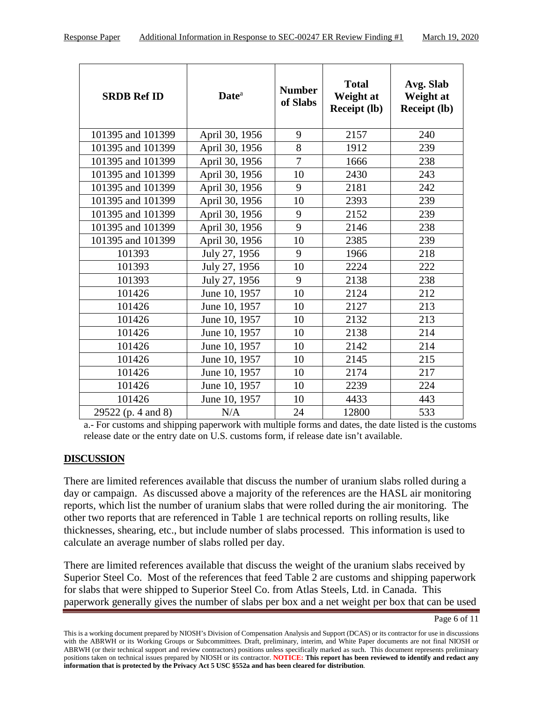| <b>SRDB Ref ID</b> | <b>Date</b> <sup>a</sup> | <b>Number</b><br>of Slabs | <b>Total</b><br>Weight at<br><b>Receipt (lb)</b> | Avg. Slab<br>Weight at<br><b>Receipt (lb)</b> |
|--------------------|--------------------------|---------------------------|--------------------------------------------------|-----------------------------------------------|
| 101395 and 101399  |                          | 9                         | 2157                                             | 240                                           |
|                    | April 30, 1956           |                           |                                                  |                                               |
| 101395 and 101399  | April 30, 1956           | 8                         | 1912                                             | 239                                           |
| 101395 and 101399  | April 30, 1956           | $\overline{7}$            | 1666                                             | 238                                           |
| 101395 and 101399  | April 30, 1956           | 10                        | 2430                                             | 243                                           |
| 101395 and 101399  | April 30, 1956           | 9                         | 2181                                             | 242                                           |
| 101395 and 101399  | April 30, 1956           | 10                        | 2393                                             | 239                                           |
| 101395 and 101399  | April 30, 1956           | 9                         | 2152                                             | 239                                           |
| 101395 and 101399  | April 30, 1956           | 9                         | 2146                                             | 238                                           |
| 101395 and 101399  | April 30, 1956           | 10                        | 2385                                             | 239                                           |
| 101393             | July 27, 1956            | 9                         | 1966                                             | 218                                           |
| 101393             | July 27, 1956            | 10                        | 2224                                             | 222                                           |
| 101393             | July 27, 1956            | 9                         | 2138                                             | 238                                           |
| 101426             | June 10, 1957            | 10                        | 2124                                             | 212                                           |
| 101426             | June 10, 1957            | 10                        | 2127                                             | 213                                           |
| 101426             | June 10, 1957            | 10                        | 2132                                             | 213                                           |
| 101426             | June 10, 1957            | 10                        | 2138                                             | 214                                           |
| 101426             | June 10, 1957            | 10                        | 2142                                             | 214                                           |
| 101426             | June 10, 1957            | 10                        | 2145                                             | 215                                           |
| 101426             | June 10, 1957            | 10                        | 2174                                             | 217                                           |
| 101426             | June 10, 1957            | 10                        | 2239                                             | 224                                           |
| 101426             | June 10, 1957            | 10                        | 4433                                             | 443                                           |
| 29522 (p. 4 and 8) | N/A                      | 24                        | 12800                                            | 533                                           |

a.- For customs and shipping paperwork with multiple forms and dates, the date listed is the customs release date or the entry date on U.S. customs form, if release date isn't available.

#### **DISCUSSION**

There are limited references available that discuss the number of uranium slabs rolled during a day or campaign. As discussed above a majority of the references are the HASL air monitoring reports, which list the number of uranium slabs that were rolled during the air monitoring. The other two reports that are referenced in Table 1 are technical reports on rolling results, like thicknesses, shearing, etc., but include number of slabs processed. This information is used to calculate an average number of slabs rolled per day.

There are limited references available that discuss the weight of the uranium slabs received by Superior Steel Co. Most of the references that feed Table 2 are customs and shipping paperwork for slabs that were shipped to Superior Steel Co. from Atlas Steels, Ltd. in Canada. This paperwork generally gives the number of slabs per box and a net weight per box that can be used

This is a working document prepared by NIOSH's Division of Compensation Analysis and Support (DCAS) or its contractor for use in discussions with the ABRWH or its Working Groups or Subcommittees. Draft, preliminary, interim, and White Paper documents are not final NIOSH or ABRWH (or their technical support and review contractors) positions unless specifically marked as such. This document represents preliminary positions taken on technical issues prepared by NIOSH or its contractor. **NOTICE: This report has been reviewed to identify and redact any information that is protected by the Privacy Act 5 USC §552a and has been cleared for distribution**.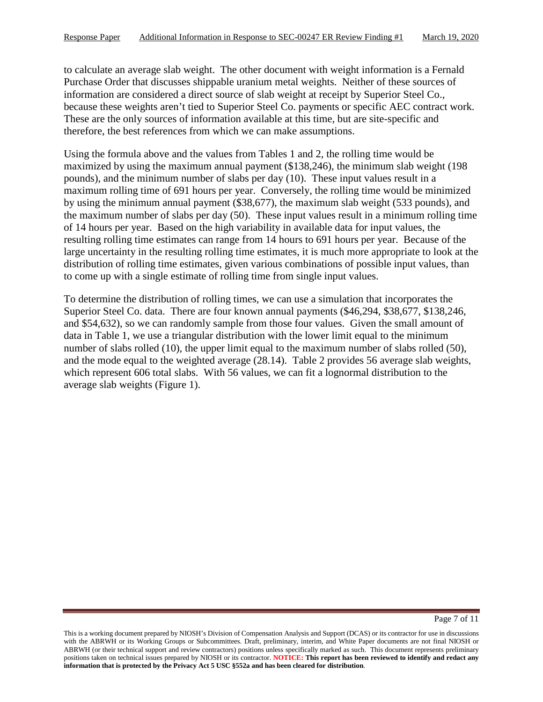to calculate an average slab weight. The other document with weight information is a Fernald Purchase Order that discusses shippable uranium metal weights. Neither of these sources of information are considered a direct source of slab weight at receipt by Superior Steel Co., because these weights aren't tied to Superior Steel Co. payments or specific AEC contract work. These are the only sources of information available at this time, but are site-specific and therefore, the best references from which we can make assumptions.

Using the formula above and the values from Tables 1 and 2, the rolling time would be maximized by using the maximum annual payment (\$138,246), the minimum slab weight (198 pounds), and the minimum number of slabs per day (10). These input values result in a maximum rolling time of 691 hours per year. Conversely, the rolling time would be minimized by using the minimum annual payment (\$38,677), the maximum slab weight (533 pounds), and the maximum number of slabs per day (50). These input values result in a minimum rolling time of 14 hours per year. Based on the high variability in available data for input values, the resulting rolling time estimates can range from 14 hours to 691 hours per year. Because of the large uncertainty in the resulting rolling time estimates, it is much more appropriate to look at the distribution of rolling time estimates, given various combinations of possible input values, than to come up with a single estimate of rolling time from single input values.

To determine the distribution of rolling times, we can use a simulation that incorporates the Superior Steel Co. data. There are four known annual payments (\$46,294, \$38,677, \$138,246, and \$54,632), so we can randomly sample from those four values. Given the small amount of data in Table 1, we use a triangular distribution with the lower limit equal to the minimum number of slabs rolled (10), the upper limit equal to the maximum number of slabs rolled (50), and the mode equal to the weighted average (28.14). Table 2 provides 56 average slab weights, which represent 606 total slabs. With 56 values, we can fit a lognormal distribution to the average slab weights (Figure 1).

This is a working document prepared by NIOSH's Division of Compensation Analysis and Support (DCAS) or its contractor for use in discussions with the ABRWH or its Working Groups or Subcommittees. Draft, preliminary, interim, and White Paper documents are not final NIOSH or ABRWH (or their technical support and review contractors) positions unless specifically marked as such. This document represents preliminary positions taken on technical issues prepared by NIOSH or its contractor. **NOTICE: This report has been reviewed to identify and redact any information that is protected by the Privacy Act 5 USC §552a and has been cleared for distribution**.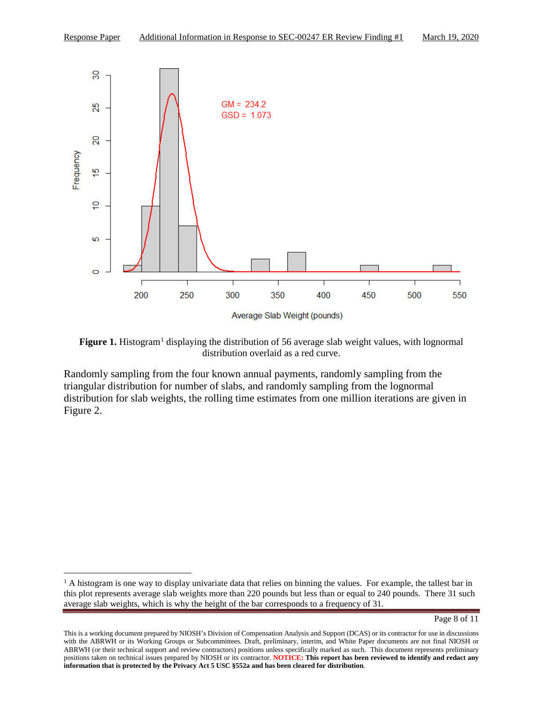

Figure 1. Histogram<sup>1</sup> displaying the distribution of 56 average slab weight values, with lognormal distribution overlaid as a red curve.

Randomly sampling from the four known annual payments, randomly sampling from the triangular distribution for number of slabs, and randomly sampling from the lognormal distribution for slab weights, the rolling time estimates from one million iterations are given in Figure 2.

<sup>&</sup>lt;sup>1</sup> A histogram is one way to display univariate data that relies on binning the values. For example, the tallest bar in this plot represents average slab weights more than 220 pounds but less than or equal to 240 pounds. There 31 such average slab weights, which is why the height of the bar corresponds to a frequency of 31.

This is a working document prepared by NIOSH's Division of Compensation Analysis and Support (DCAS) or its contractor for use in discussions with the ABRWH or its Working Groups or Subcommittees. Draft, preliminary, interim, and White Paper documents are not final NIOSH or ABRWH (or their technical support and review contractors) positions unless specifically marked as such. This document represents preliminary positions taken on technical issues prepared by NIOSH or its contractor. **NOTICE: This report has been reviewed to identify and redact any information that is protected by the Privacy Act 5 USC §552a and has been cleared for distribution**.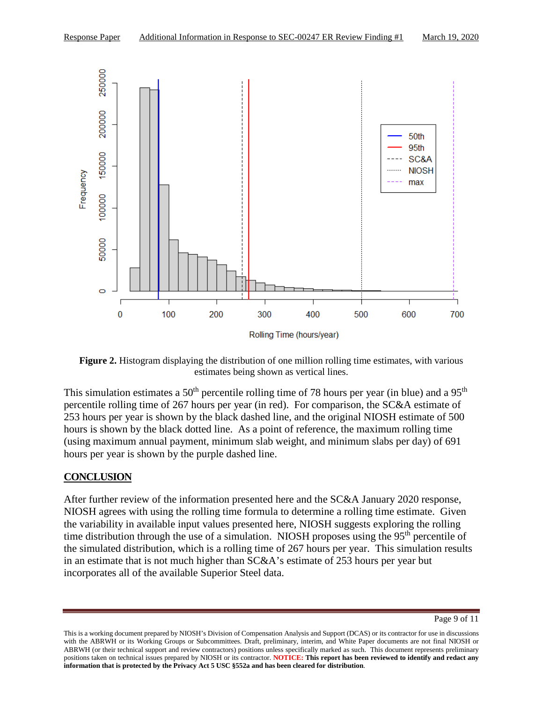

**Figure 2.** Histogram displaying the distribution of one million rolling time estimates, with various estimates being shown as vertical lines.

This simulation estimates a  $50<sup>th</sup>$  percentile rolling time of 78 hours per year (in blue) and a  $95<sup>th</sup>$ percentile rolling time of 267 hours per year (in red). For comparison, the SC&A estimate of 253 hours per year is shown by the black dashed line, and the original NIOSH estimate of 500 hours is shown by the black dotted line. As a point of reference, the maximum rolling time (using maximum annual payment, minimum slab weight, and minimum slabs per day) of 691 hours per year is shown by the purple dashed line.

# **CONCLUSION**

After further review of the information presented here and the SC&A January 2020 response, NIOSH agrees with using the rolling time formula to determine a rolling time estimate. Given the variability in available input values presented here, NIOSH suggests exploring the rolling time distribution through the use of a simulation. NIOSH proposes using the 95<sup>th</sup> percentile of the simulated distribution, which is a rolling time of 267 hours per year. This simulation results in an estimate that is not much higher than SC&A's estimate of 253 hours per year but incorporates all of the available Superior Steel data.

Page 9 of 11

This is a working document prepared by NIOSH's Division of Compensation Analysis and Support (DCAS) or its contractor for use in discussions with the ABRWH or its Working Groups or Subcommittees. Draft, preliminary, interim, and White Paper documents are not final NIOSH or ABRWH (or their technical support and review contractors) positions unless specifically marked as such. This document represents preliminary positions taken on technical issues prepared by NIOSH or its contractor. **NOTICE: This report has been reviewed to identify and redact any information that is protected by the Privacy Act 5 USC §552a and has been cleared for distribution**.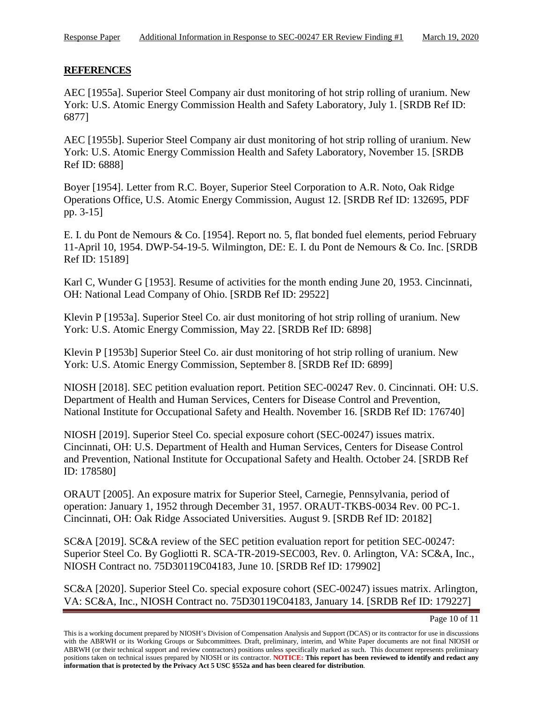## **REFERENCES**

AEC [1955a]. Superior Steel Company air dust monitoring of hot strip rolling of uranium. New York: U.S. Atomic Energy Commission Health and Safety Laboratory, July 1. [SRDB Ref ID: 6877]

AEC [1955b]. Superior Steel Company air dust monitoring of hot strip rolling of uranium. New York: U.S. Atomic Energy Commission Health and Safety Laboratory, November 15. [SRDB Ref ID: 6888]

Boyer [1954]. Letter from R.C. Boyer, Superior Steel Corporation to A.R. Noto, Oak Ridge Operations Office, U.S. Atomic Energy Commission, August 12. [SRDB Ref ID: 132695, PDF pp. 3-15]

E. I. du Pont de Nemours & Co. [1954]. Report no. 5, flat bonded fuel elements, period February 11-April 10, 1954. DWP-54-19-5. Wilmington, DE: E. I. du Pont de Nemours & Co. Inc. [SRDB Ref ID: 15189]

Karl C, Wunder G [1953]. Resume of activities for the month ending June 20, 1953. Cincinnati, OH: National Lead Company of Ohio. [SRDB Ref ID: 29522]

Klevin P [1953a]. Superior Steel Co. air dust monitoring of hot strip rolling of uranium. New York: U.S. Atomic Energy Commission, May 22. [SRDB Ref ID: 6898]

Klevin P [1953b] Superior Steel Co. air dust monitoring of hot strip rolling of uranium. New York: U.S. Atomic Energy Commission, September 8. [SRDB Ref ID: 6899]

NIOSH [2018]. SEC petition evaluation report. Petition SEC-00247 Rev. 0. Cincinnati. OH: U.S. Department of Health and Human Services, Centers for Disease Control and Prevention, National Institute for Occupational Safety and Health. November 16. [SRDB Ref ID: 176740]

NIOSH [2019]. Superior Steel Co. special exposure cohort (SEC-00247) issues matrix. Cincinnati, OH: U.S. Department of Health and Human Services, Centers for Disease Control and Prevention, National Institute for Occupational Safety and Health. October 24. [SRDB Ref ID: 178580]

ORAUT [2005]. An exposure matrix for Superior Steel, Carnegie, Pennsylvania, period of operation: January 1, 1952 through December 31, 1957. ORAUT-TKBS-0034 Rev. 00 PC-1. Cincinnati, OH: Oak Ridge Associated Universities. August 9. [SRDB Ref ID: 20182]

SC&A [2019]. SC&A review of the SEC petition evaluation report for petition SEC-00247: Superior Steel Co. By Gogliotti R. SCA-TR-2019-SEC003, Rev. 0. Arlington, VA: SC&A, Inc., NIOSH Contract no. 75D30119C04183, June 10. [SRDB Ref ID: 179902]

SC&A [2020]. Superior Steel Co. special exposure cohort (SEC-00247) issues matrix. Arlington, VA: SC&A, Inc., NIOSH Contract no. 75D30119C04183, January 14. [SRDB Ref ID: 179227]

This is a working document prepared by NIOSH's Division of Compensation Analysis and Support (DCAS) or its contractor for use in discussions with the ABRWH or its Working Groups or Subcommittees. Draft, preliminary, interim, and White Paper documents are not final NIOSH or ABRWH (or their technical support and review contractors) positions unless specifically marked as such. This document represents preliminary positions taken on technical issues prepared by NIOSH or its contractor. **NOTICE: This report has been reviewed to identify and redact any information that is protected by the Privacy Act 5 USC §552a and has been cleared for distribution**.